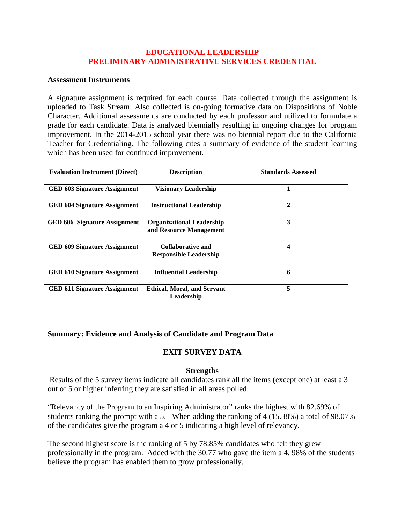### **EDUCATIONAL LEADERSHIP PRELIMINARY ADMINISTRATIVE SERVICES CREDENTIAL**

#### **Assessment Instruments**

A signature assignment is required for each course. Data collected through the assignment is uploaded to Task Stream. Also collected is on-going formative data on Dispositions of Noble Character. Additional assessments are conducted by each professor and utilized to formulate a grade for each candidate. Data is analyzed biennially resulting in ongoing changes for program improvement. In the 2014-2015 school year there was no biennial report due to the California Teacher for Credentialing. The following cites a summary of evidence of the student learning which has been used for continued improvement.

| <b>Evaluation Instrument (Direct)</b> | <b>Description</b>                                          | <b>Standards Assessed</b> |
|---------------------------------------|-------------------------------------------------------------|---------------------------|
| <b>GED 603 Signature Assignment</b>   | <b>Visionary Leadership</b>                                 |                           |
| <b>GED 604 Signature Assignment</b>   | <b>Instructional Leadership</b>                             | $\mathbf{2}$              |
| <b>GED 606 Signature Assignment</b>   | <b>Organizational Leadership</b><br>and Resource Management | 3                         |
| <b>GED 609 Signature Assignment</b>   | Collaborative and<br><b>Responsible Leadership</b>          | 4                         |
| <b>GED 610 Signature Assignment</b>   | <b>Influential Leadership</b>                               | 6                         |
| <b>GED 611 Signature Assignment</b>   | <b>Ethical, Moral, and Servant</b><br>Leadership            | 5                         |

### **Summary: Evidence and Analysis of Candidate and Program Data**

# **EXIT SURVEY DATA**

## **Strengths**

Results of the 5 survey items indicate all candidates rank all the items (except one) at least a 3 out of 5 or higher inferring they are satisfied in all areas polled.

"Relevancy of the Program to an Inspiring Administrator" ranks the highest with 82.69% of students ranking the prompt with a 5. When adding the ranking of  $4$  (15.38%) a total of 98.07% of the candidates give the program a 4 or 5 indicating a high level of relevancy.

The second highest score is the ranking of 5 by 78.85% candidates who felt they grew professionally in the program. Added with the 30.77 who gave the item a 4, 98% of the students believe the program has enabled them to grow professionally.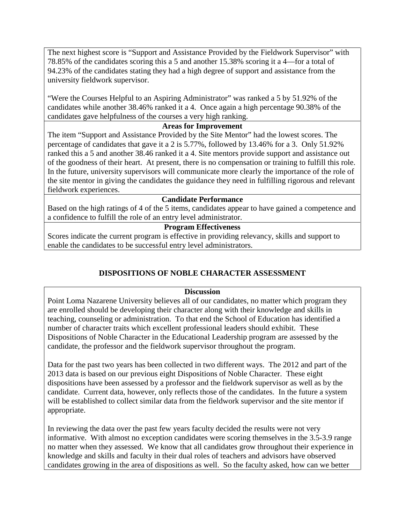The next highest score is "Support and Assistance Provided by the Fieldwork Supervisor" with 78.85% of the candidates scoring this a 5 and another 15.38% scoring it a 4—for a total of 94.23% of the candidates stating they had a high degree of support and assistance from the university fieldwork supervisor.

"Were the Courses Helpful to an Aspiring Administrator" was ranked a 5 by 51.92% of the candidates while another 38.46% ranked it a 4. Once again a high percentage 90.38% of the candidates gave helpfulness of the courses a very high ranking.

## **Areas for Improvement**

The item "Support and Assistance Provided by the Site Mentor" had the lowest scores. The percentage of candidates that gave it a 2 is 5.77%, followed by 13.46% for a 3. Only 51.92% ranked this a 5 and another 38.46 ranked it a 4. Site mentors provide support and assistance out of the goodness of their heart. At present, there is no compensation or training to fulfill this role. In the future, university supervisors will communicate more clearly the importance of the role of the site mentor in giving the candidates the guidance they need in fulfilling rigorous and relevant fieldwork experiences.

## **Candidate Performance**

Based on the high ratings of 4 of the 5 items, candidates appear to have gained a competence and a confidence to fulfill the role of an entry level administrator.

## **Program Effectiveness**

Scores indicate the current program is effective in providing relevancy, skills and support to enable the candidates to be successful entry level administrators.

# **DISPOSITIONS OF NOBLE CHARACTER ASSESSMENT**

### **Discussion**

Point Loma Nazarene University believes all of our candidates, no matter which program they are enrolled should be developing their character along with their knowledge and skills in teaching, counseling or administration. To that end the School of Education has identified a number of character traits which excellent professional leaders should exhibit. These Dispositions of Noble Character in the Educational Leadership program are assessed by the candidate, the professor and the fieldwork supervisor throughout the program.

Data for the past two years has been collected in two different ways. The 2012 and part of the 2013 data is based on our previous eight Dispositions of Noble Character. These eight dispositions have been assessed by a professor and the fieldwork supervisor as well as by the candidate. Current data, however, only reflects those of the candidates. In the future a system will be established to collect similar data from the fieldwork supervisor and the site mentor if appropriate.

In reviewing the data over the past few years faculty decided the results were not very informative. With almost no exception candidates were scoring themselves in the 3.5-3.9 range no matter when they assessed. We know that all candidates grow throughout their experience in knowledge and skills and faculty in their dual roles of teachers and advisors have observed candidates growing in the area of dispositions as well. So the faculty asked, how can we better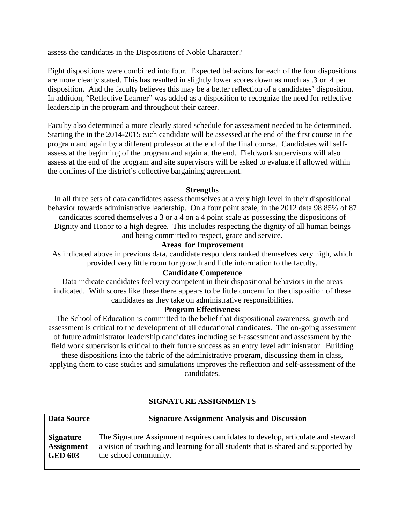assess the candidates in the Dispositions of Noble Character?

Eight dispositions were combined into four. Expected behaviors for each of the four dispositions are more clearly stated. This has resulted in slightly lower scores down as much as .3 or .4 per disposition. And the faculty believes this may be a better reflection of a candidates' disposition. In addition, "Reflective Learner" was added as a disposition to recognize the need for reflective leadership in the program and throughout their career.

Faculty also determined a more clearly stated schedule for assessment needed to be determined. Starting the in the 2014-2015 each candidate will be assessed at the end of the first course in the program and again by a different professor at the end of the final course. Candidates will selfassess at the beginning of the program and again at the end. Fieldwork supervisors will also assess at the end of the program and site supervisors will be asked to evaluate if allowed within the confines of the district's collective bargaining agreement.

### **Strengths**

In all three sets of data candidates assess themselves at a very high level in their dispositional behavior towards administrative leadership. On a four point scale, in the 2012 data 98.85% of 87 candidates scored themselves a 3 or a 4 on a 4 point scale as possessing the dispositions of Dignity and Honor to a high degree. This includes respecting the dignity of all human beings and being committed to respect, grace and service.

## **Areas for Improvement**

As indicated above in previous data, candidate responders ranked themselves very high, which provided very little room for growth and little information to the faculty.

### **Candidate Competence**

Data indicate candidates feel very competent in their dispositional behaviors in the areas indicated. With scores like these there appears to be little concern for the disposition of these candidates as they take on administrative responsibilities.

### **Program Effectiveness**

The School of Education is committed to the belief that dispositional awareness, growth and assessment is critical to the development of all educational candidates. The on-going assessment of future administrator leadership candidates including self-assessment and assessment by the field work supervisor is critical to their future success as an entry level administrator. Building these dispositions into the fabric of the administrative program, discussing them in class, applying them to case studies and simulations improves the reflection and self-assessment of the candidates.

## **SIGNATURE ASSIGNMENTS**

| <b>Data Source</b> | <b>Signature Assignment Analysis and Discussion</b>                                |
|--------------------|------------------------------------------------------------------------------------|
| <b>Signature</b>   | The Signature Assignment requires candidates to develop, articulate and steward    |
| <b>Assignment</b>  | a vision of teaching and learning for all students that is shared and supported by |
| <b>GED 603</b>     | the school community.                                                              |